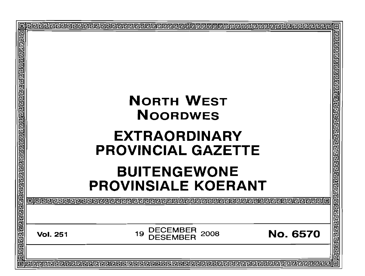| 回 |                 |                                                   | 回                                           |  |  |  |
|---|-----------------|---------------------------------------------------|---------------------------------------------|--|--|--|
|   |                 | <b>NORTH WEST</b><br><b>NOORDWES</b>              | <b>RPPPPP</b>                               |  |  |  |
|   |                 | <b>EXTRAORDINARY</b><br><b>PROVINCIAL GAZETTE</b> | 믐                                           |  |  |  |
|   |                 | <b>BUITENGEWONE</b><br><b>PROVINSIALE KOERANT</b> |                                             |  |  |  |
|   |                 |                                                   | वलबाह्य बाह्य बाह्य बाह्य बाह्य बाह्य बाह्य |  |  |  |
|   | <b>Vol. 251</b> | DECEMBER<br>2008<br>19                            | <b>No. 6570</b>                             |  |  |  |
|   | 回               |                                                   |                                             |  |  |  |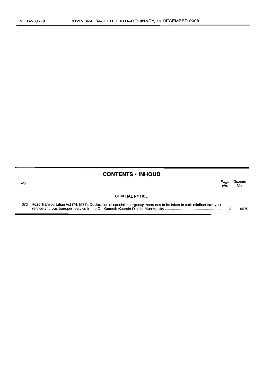$\bar{z}$ 

No.

### **CONTENTS • INHOUD**

**GENERAL NOTICE** Page Gazette No. No.

| 673 Road Transportation Act (74/1977): Declaration of special emergency measures to be taken to curb minibus taxi type |  |      |
|------------------------------------------------------------------------------------------------------------------------|--|------|
|                                                                                                                        |  | 6570 |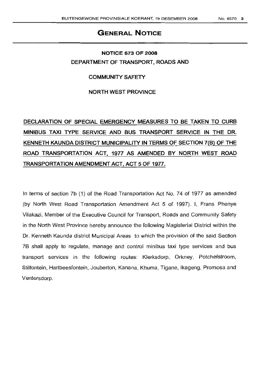## **GENERAL NOTICE**

## **NOTICE 673 OF 2008 DEPARTMENT OF TRANSPORT. ROADS AND**

#### **COMMUNITY SAFETY**

**NORTH WEST PROVINCE**

# **DECLARATION OF SPECIAL EMERGENCY MEASURES TO BE TAKEN TO CURB MINIBUS TAXI TYPE SERVICE AND BUS TRANSPORT SERVICE IN THE DR. KENNETH KAUNDA DISTRICT MUNICIPALITY IN TERMS OF SECTION 7(B) OF THE ROAD TRANSPORTATION ACT. 1977 AS AMENDED BY NORTH WEST ROAD TRANSPORTATION** AMENDMENT ACT. **ACT 5 OF 1977.**

In terms of section 7b (1) of the Road Transportation Act No. 74 of 1977 as amended (by North West Road Transportation Amendment Act 5 of 1997). I, Frans Phenye Vilakazi, Member of the Executive Council for Transport, Roads and Community Safety in the North West Province hereby announce the following Magisterial District within the Dr. Kenneth Kaunda district Municipal Areas to which the provision of the said Section 78 shall apply to regulate, manage and control minibus taxi type services and bus transport services in the following routes: Klerksdorp, Orkney, Potchefstroom, Stilfontein, Hartbeesfontein, Jouberton, Kanana, Khuma, Tigane, Ikageng, Promosa and Ventersdorp.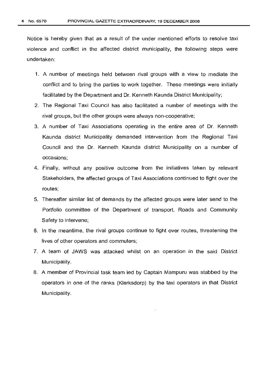Notice is hereby given that as a result of the under mentioned efforts to resolve taxi violence and conflict in the affected district municipality, the following steps were undertaken:

- 1. A number of meetings held between rival groups with a view to mediate the conflict and to bring the parties to work together. These meetings were initially facilitated by the Department and Dr. Kenneth Kaunda District Municipality;
- 2. The Regional Taxi Council has also facilitated a number of meetings with the rival groups, but the other groups were always non-cooperative;
- 3. A number of Taxi Associations operating in the entire area of Dr. Kenneth Kaunda district Municipality demanded intervention from the Regional Taxi Council and the Dr. Kenneth Kaunda district Municipality on a number of occasions;
- 4. Finally, without any positive outcome from the initiatives taken by relevant Stakeholders, the affected groups of Taxi Associations continued to fight over the routes;
- 5. Thereafter similar list of demands by the affected groups were later send to the Portfolio committee of the Department of transport, Roads and Community Safety to intervene;
- 6. In the meantime, the rival groups continue to fight over routes, threatening the lives of other operators and commuters;
- 7. A team of JAWS was attacked whilst on an operation in the said District Municipality.
- 8. A member of Provincial task team led by Captain Mampuru was stabbed by the operators in one of the ranks (Klerksdorp) by the taxi operators in that District Municipality.